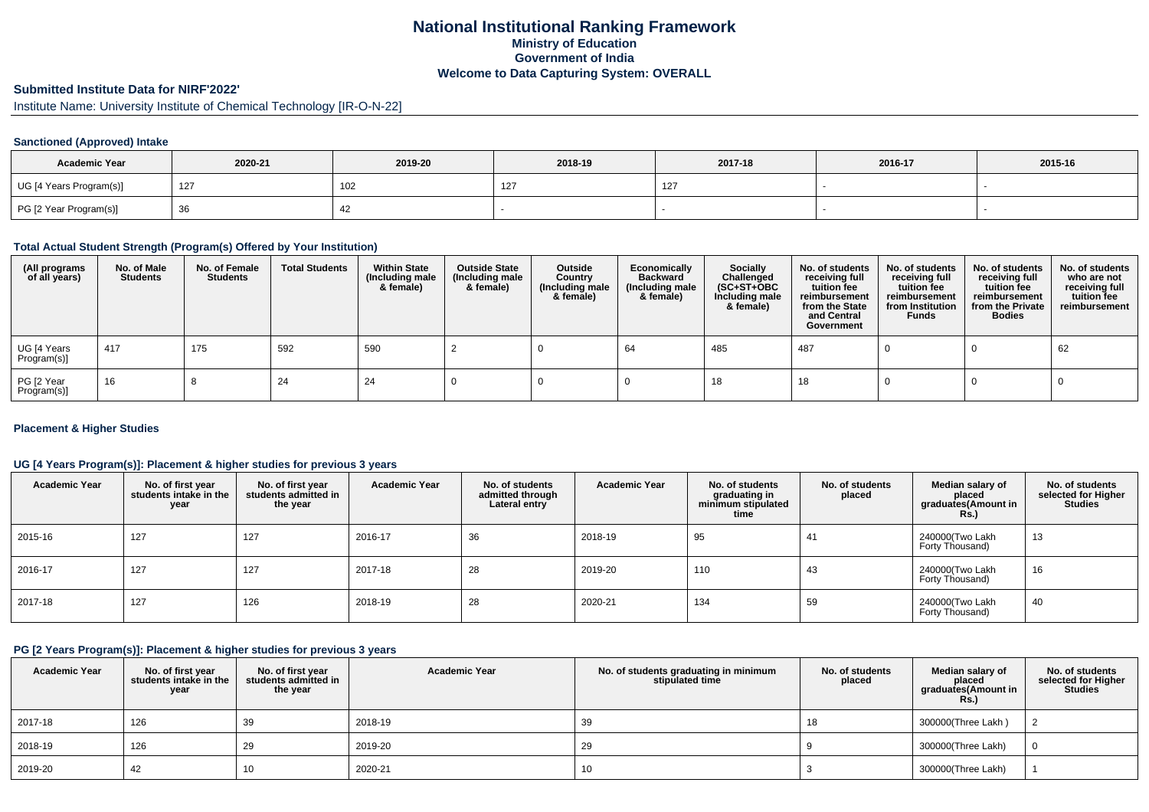# **National Institutional Ranking FrameworkMinistry of Education Government of IndiaWelcome to Data Capturing System: OVERALL**

# **Submitted Institute Data for NIRF'2022'**

Institute Name: University Institute of Chemical Technology [IR-O-N-22]

### **Sanctioned (Approved) Intake**

| <b>Academic Year</b>    | 2020-21 | 2019-20 | 2018-19      | 2017-18 | 2016-17 | 2015-16 |
|-------------------------|---------|---------|--------------|---------|---------|---------|
| UG [4 Years Program(s)] | 127     | 102     | $\sim$<br>14 | $\sim$  |         |         |
| PG [2 Year Program(s)]  |         | 44      |              |         |         |         |

### **Total Actual Student Strength (Program(s) Offered by Your Institution)**

| (All programs<br>of all years) | No. of Male<br><b>Students</b> | No. of Female<br>Students | <b>Total Students</b> | <b>Within State</b><br>(Including male<br>& female) | <b>Outside State</b><br>(Including male<br>& female) | Outside<br>Country<br>(Including male<br>& female) | Economically<br><b>Backward</b><br>(Including male<br>& female) | <b>Socially</b><br>Challenged<br>$(SC+ST+OBC)$<br>Including male<br>& female) | No. of students<br>receiving full<br>tuition fee<br>reimbursement<br>from the State<br>and Central<br>Government | No. of students<br>receiving full<br>tuition fee<br>reimbursement<br>from Institution<br><b>Funds</b> | No. of students<br>receiving full<br>tuition fee<br>reimbursement<br>from the Private<br><b>Bodies</b> | No. of students<br>who are not<br>receiving full<br>tuition fee<br>reimbursement |
|--------------------------------|--------------------------------|---------------------------|-----------------------|-----------------------------------------------------|------------------------------------------------------|----------------------------------------------------|-----------------------------------------------------------------|-------------------------------------------------------------------------------|------------------------------------------------------------------------------------------------------------------|-------------------------------------------------------------------------------------------------------|--------------------------------------------------------------------------------------------------------|----------------------------------------------------------------------------------|
| UG [4 Years<br>Program(s)]     | 417                            | 175                       | 592                   | 590                                                 |                                                      |                                                    | 64                                                              | 485                                                                           | 487                                                                                                              |                                                                                                       |                                                                                                        | 62                                                                               |
| PG [2 Year<br>Program(s)]      | 16                             |                           | 24                    | 24                                                  |                                                      |                                                    |                                                                 | 18                                                                            | 18                                                                                                               |                                                                                                       |                                                                                                        |                                                                                  |

#### **Placement & Higher Studies**

#### **UG [4 Years Program(s)]: Placement & higher studies for previous 3 years**

| <b>Academic Year</b> | No. of first year<br>students intake in the<br>year | No. of first vear<br>students admitted in<br>the year | <b>Academic Year</b> | No. of students<br>admitted through<br>Lateral entry | <b>Academic Year</b> | No. of students<br>graduating in<br>minimum stipulated<br>time | No. of students<br>placed | Median salary of<br>placed<br>graduates(Amount in<br><b>Rs.)</b> | No. of students<br>selected for Higher<br><b>Studies</b> |
|----------------------|-----------------------------------------------------|-------------------------------------------------------|----------------------|------------------------------------------------------|----------------------|----------------------------------------------------------------|---------------------------|------------------------------------------------------------------|----------------------------------------------------------|
| 2015-16              | 127                                                 | 127                                                   | 2016-17              | 36                                                   | 2018-19              | 95                                                             | 41                        | 240000(Two Lakh<br>Forty Thousand)                               | 13                                                       |
| 2016-17              | 127                                                 | 127                                                   | 2017-18              | 28                                                   | 2019-20              | 110                                                            | 43                        | 240000(Two Lakh<br>Forty Thousand)                               | 16                                                       |
| 2017-18              | 127                                                 | 126                                                   | 2018-19              | 28                                                   | 2020-21              | 134                                                            | 59                        | 240000(Two Lakh<br>Forty Thousand)                               | 40                                                       |

### **PG [2 Years Program(s)]: Placement & higher studies for previous 3 years**

| <b>Academic Year</b> | No. of first year<br>students intake in the<br>year | No. of first vear<br>students admitted in<br>the year | <b>Academic Year</b> | No. of students graduating in minimum<br>stipulated time | No. of students<br>placed | Median salary of<br>placed<br>graduates(Amount in<br><b>Rs.)</b> | No. of students<br>selected for Higher<br><b>Studies</b> |
|----------------------|-----------------------------------------------------|-------------------------------------------------------|----------------------|----------------------------------------------------------|---------------------------|------------------------------------------------------------------|----------------------------------------------------------|
| 2017-18              | 126                                                 | 39                                                    | 2018-19              | 39                                                       | 18                        | 300000(Three Lakh)                                               |                                                          |
| 2018-19              | 126                                                 | 29                                                    | 2019-20              | 29                                                       |                           | 300000(Three Lakh)                                               | $\Omega$                                                 |
| 2019-20              | 42                                                  | 10                                                    | 2020-21              | 10                                                       |                           | 300000(Three Lakh)                                               |                                                          |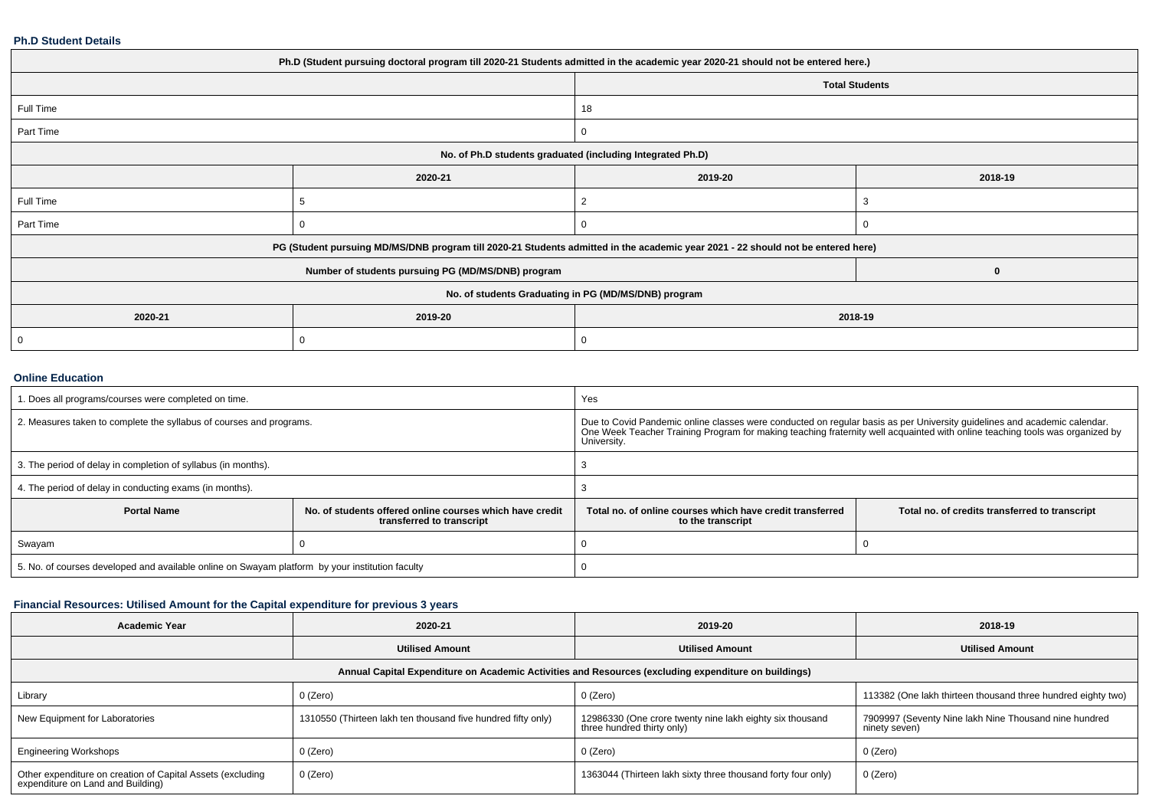#### **Ph.D Student Details**

| Ph.D (Student pursuing doctoral program till 2020-21 Students admitted in the academic year 2020-21 should not be entered here.) |                                                                                                                                  |         |                       |  |  |  |
|----------------------------------------------------------------------------------------------------------------------------------|----------------------------------------------------------------------------------------------------------------------------------|---------|-----------------------|--|--|--|
|                                                                                                                                  |                                                                                                                                  |         | <b>Total Students</b> |  |  |  |
| Full Time                                                                                                                        |                                                                                                                                  | 18      |                       |  |  |  |
| Part Time                                                                                                                        |                                                                                                                                  |         |                       |  |  |  |
| No. of Ph.D students graduated (including Integrated Ph.D)                                                                       |                                                                                                                                  |         |                       |  |  |  |
|                                                                                                                                  | 2020-21                                                                                                                          | 2019-20 | 2018-19               |  |  |  |
| Full Time                                                                                                                        |                                                                                                                                  | -2      | 3                     |  |  |  |
| Part Time                                                                                                                        | 0                                                                                                                                |         |                       |  |  |  |
|                                                                                                                                  | PG (Student pursuing MD/MS/DNB program till 2020-21 Students admitted in the academic year 2021 - 22 should not be entered here) |         |                       |  |  |  |
|                                                                                                                                  | Number of students pursuing PG (MD/MS/DNB) program                                                                               |         | $\bf{0}$              |  |  |  |
| No. of students Graduating in PG (MD/MS/DNB) program                                                                             |                                                                                                                                  |         |                       |  |  |  |
| 2020-21                                                                                                                          | 2019-20                                                                                                                          | 2018-19 |                       |  |  |  |
| 0                                                                                                                                | $\Omega$                                                                                                                         |         |                       |  |  |  |
|                                                                                                                                  |                                                                                                                                  |         |                       |  |  |  |

#### **Online Education**

| 1. Does all programs/courses were completed on time.                                            |                                                                                       | Yes                                                                                                                                                                                                                                              |                                                |  |
|-------------------------------------------------------------------------------------------------|---------------------------------------------------------------------------------------|--------------------------------------------------------------------------------------------------------------------------------------------------------------------------------------------------------------------------------------------------|------------------------------------------------|--|
| 2. Measures taken to complete the syllabus of courses and programs.                             |                                                                                       | Due to Covid Pandemic online classes were conducted on regular basis as per University guidelines and academic calendar.<br>One Week Teacher Training Program for making teaching fraternity well acquainted with online teaching<br>University. |                                                |  |
| 3. The period of delay in completion of syllabus (in months).                                   |                                                                                       |                                                                                                                                                                                                                                                  |                                                |  |
| 4. The period of delay in conducting exams (in months).                                         |                                                                                       |                                                                                                                                                                                                                                                  |                                                |  |
| <b>Portal Name</b>                                                                              | No. of students offered online courses which have credit<br>transferred to transcript | Total no, of online courses which have credit transferred<br>to the transcript                                                                                                                                                                   | Total no. of credits transferred to transcript |  |
| Swayam                                                                                          |                                                                                       |                                                                                                                                                                                                                                                  |                                                |  |
| 5. No. of courses developed and available online on Swayam platform by your institution faculty |                                                                                       |                                                                                                                                                                                                                                                  |                                                |  |

## **Financial Resources: Utilised Amount for the Capital expenditure for previous 3 years**

| <b>Academic Year</b>                                                                                 | 2020-21                                                      | 2019-20                                                                                | 2018-19                                                                |  |  |  |  |
|------------------------------------------------------------------------------------------------------|--------------------------------------------------------------|----------------------------------------------------------------------------------------|------------------------------------------------------------------------|--|--|--|--|
|                                                                                                      | <b>Utilised Amount</b>                                       | <b>Utilised Amount</b>                                                                 | <b>Utilised Amount</b>                                                 |  |  |  |  |
| Annual Capital Expenditure on Academic Activities and Resources (excluding expenditure on buildings) |                                                              |                                                                                        |                                                                        |  |  |  |  |
| Library                                                                                              | 0 (Zero)                                                     | 0 (Zero)                                                                               | 113382 (One lakh thirteen thousand three hundred eighty two)           |  |  |  |  |
| New Equipment for Laboratories                                                                       | 1310550 (Thirteen lakh ten thousand five hundred fifty only) | 12986330 (One crore twenty nine lakh eighty six thousand<br>three hundred thirty only) | 7909997 (Seventy Nine lakh Nine Thousand nine hundred<br>ninety seven) |  |  |  |  |
| <b>Engineering Workshops</b>                                                                         | 0 (Zero)                                                     | 0 (Zero)                                                                               | 0 (Zero)                                                               |  |  |  |  |
| Other expenditure on creation of Capital Assets (excluding<br>expenditure on Land and Building)      | 0 (Zero)                                                     | 1363044 (Thirteen lakh sixty three thousand forty four only)                           | 0 (Zero)                                                               |  |  |  |  |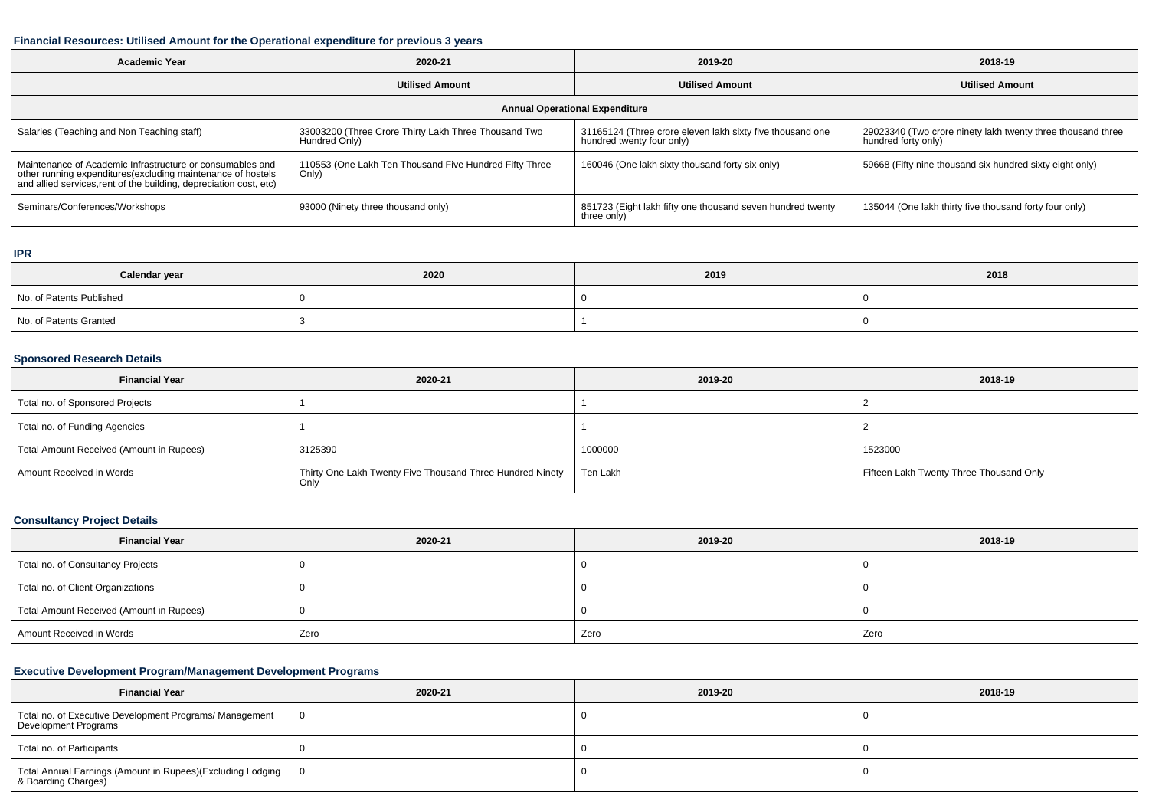### **Financial Resources: Utilised Amount for the Operational expenditure for previous 3 years**

| <b>Academic Year</b>                                                                                                                                                                           | 2020-21                                                               | 2019-20                                                                                | 2018-19                                                                            |  |  |  |  |
|------------------------------------------------------------------------------------------------------------------------------------------------------------------------------------------------|-----------------------------------------------------------------------|----------------------------------------------------------------------------------------|------------------------------------------------------------------------------------|--|--|--|--|
|                                                                                                                                                                                                | <b>Utilised Amount</b>                                                | <b>Utilised Amount</b>                                                                 | <b>Utilised Amount</b>                                                             |  |  |  |  |
| <b>Annual Operational Expenditure</b>                                                                                                                                                          |                                                                       |                                                                                        |                                                                                    |  |  |  |  |
| Salaries (Teaching and Non Teaching staff)                                                                                                                                                     | 33003200 (Three Crore Thirty Lakh Three Thousand Two<br>Hundred Only) | 31165124 (Three crore eleven lakh sixty five thousand one<br>hundred twenty four only) | 29023340 (Two crore ninety lakh twenty three thousand three<br>hundred forty only) |  |  |  |  |
| Maintenance of Academic Infrastructure or consumables and<br>other running expenditures(excluding maintenance of hostels<br>and allied services, rent of the building, depreciation cost, etc) | 110553 (One Lakh Ten Thousand Five Hundred Fifty Three<br>Only)       | 160046 (One lakh sixty thousand forty six only)                                        | 59668 (Fifty nine thousand six hundred sixty eight only)                           |  |  |  |  |
| Seminars/Conferences/Workshops                                                                                                                                                                 | 93000 (Ninety three thousand only)                                    | 851723 (Eight lakh fifty one thousand seven hundred twenty<br>three only)              | 135044 (One lakh thirty five thousand forty four only)                             |  |  |  |  |

#### **IPR**

| Calendar year            | 2020 | 2019 | 2018 |
|--------------------------|------|------|------|
| No. of Patents Published |      |      |      |
| No. of Patents Granted   |      |      |      |

### **Sponsored Research Details**

| <b>Financial Year</b>                    | 2020-21                                                           | 2019-20  | 2018-19                                 |
|------------------------------------------|-------------------------------------------------------------------|----------|-----------------------------------------|
| Total no. of Sponsored Projects          |                                                                   |          |                                         |
| Total no. of Funding Agencies            |                                                                   |          |                                         |
| Total Amount Received (Amount in Rupees) | 3125390                                                           | 1000000  | 1523000                                 |
| Amount Received in Words                 | Thirty One Lakh Twenty Five Thousand Three Hundred Ninety<br>Only | Ten Lakh | Fifteen Lakh Twenty Three Thousand Only |

### **Consultancy Project Details**

| <b>Financial Year</b>                    | 2020-21 | 2019-20 | 2018-19 |
|------------------------------------------|---------|---------|---------|
| Total no. of Consultancy Projects        |         |         |         |
| Total no. of Client Organizations        |         |         |         |
| Total Amount Received (Amount in Rupees) |         |         |         |
| Amount Received in Words                 | Zero    | Zero    | Zero    |

## **Executive Development Program/Management Development Programs**

| <b>Financial Year</b>                                                               | 2020-21 | 2019-20 | 2018-19 |
|-------------------------------------------------------------------------------------|---------|---------|---------|
| Total no. of Executive Development Programs/ Management<br>Development Programs     |         |         |         |
| Total no. of Participants                                                           |         |         |         |
| Total Annual Earnings (Amount in Rupees)(Excluding Lodging  <br>& Boarding Charges) |         |         |         |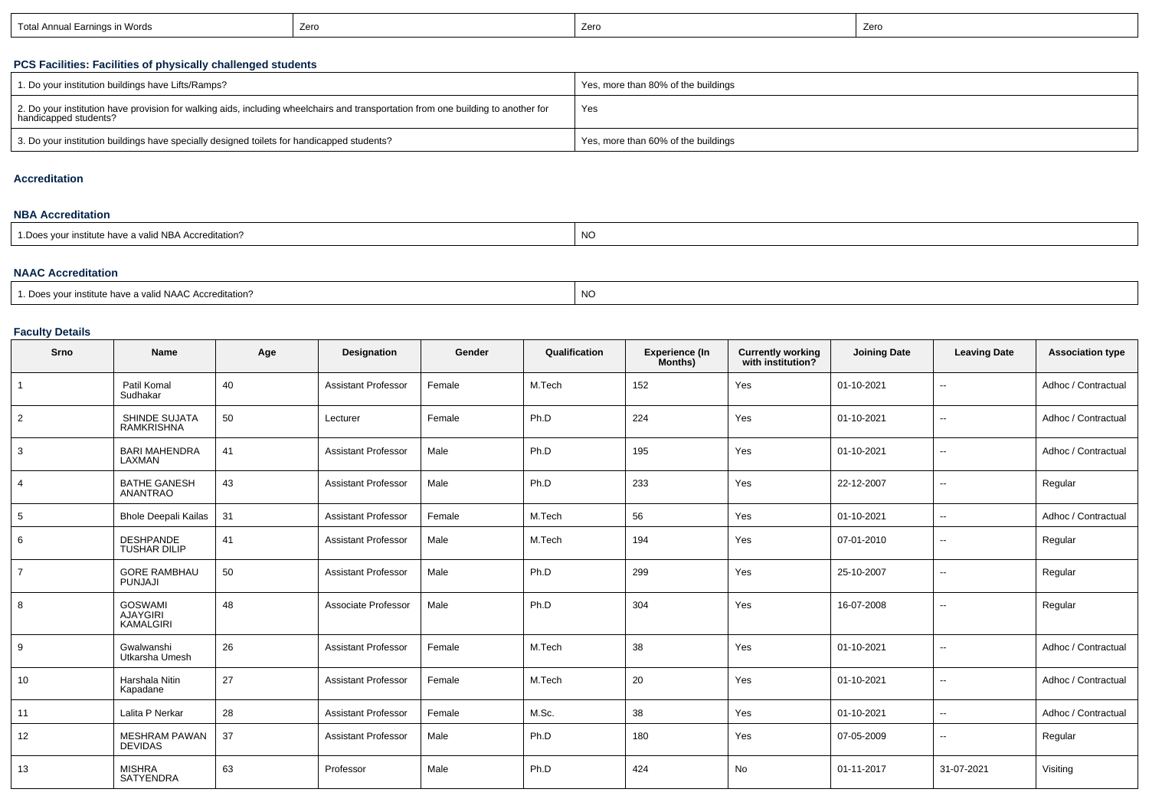| Earnings in Words<br>Total Annual L | Zerc | Zerc | Zero |
|-------------------------------------|------|------|------|
|-------------------------------------|------|------|------|

## **PCS Facilities: Facilities of physically challenged students**

| 1. Do your institution buildings have Lifts/Ramps?                                                                                                         | Yes, more than 80% of the buildings |
|------------------------------------------------------------------------------------------------------------------------------------------------------------|-------------------------------------|
| 2. Do your institution have provision for walking aids, including wheelchairs and transportation from one building to another for<br>handicapped students? | Yes                                 |
| 3. Do your institution buildings have specially designed toilets for handicapped students?                                                                 | Yes, more than 60% of the buildings |

#### **Accreditation**

#### **NBA Accreditation**

| valid NBA Accreditation:<br>r institute nave a<br>1.111 | NO |
|---------------------------------------------------------|----|
|---------------------------------------------------------|----|

#### **NAAC Accreditation**

| NC<br>1. Does your institute have a valid NAAC Accreditation? |  |
|---------------------------------------------------------------|--|
|---------------------------------------------------------------|--|

## **Faculty Details**

| Srno           | Name                                                  | Age | Designation                | Gender | Qualification | <b>Experience (In</b><br>Months) | <b>Currently working</b><br>with institution? | <b>Joining Date</b> | <b>Leaving Date</b>      | <b>Association type</b> |
|----------------|-------------------------------------------------------|-----|----------------------------|--------|---------------|----------------------------------|-----------------------------------------------|---------------------|--------------------------|-------------------------|
| $\mathbf{1}$   | Patil Komal<br>Sudhakar                               | 40  | <b>Assistant Professor</b> | Female | M.Tech        | 152                              | Yes                                           | 01-10-2021          | н.                       | Adhoc / Contractual     |
| $\overline{2}$ | SHINDE SUJATA<br><b>RAMKRISHNA</b>                    | 50  | Lecturer                   | Female | Ph.D          | 224                              | Yes                                           | 01-10-2021          |                          | Adhoc / Contractual     |
| 3              | <b>BARI MAHENDRA</b><br>LAXMAN                        | 41  | <b>Assistant Professor</b> | Male   | Ph.D          | 195                              | Yes                                           | 01-10-2021          | $\sim$                   | Adhoc / Contractual     |
| $\overline{4}$ | <b>BATHE GANESH</b><br>ANANTRAO                       | 43  | <b>Assistant Professor</b> | Male   | Ph.D          | 233                              | Yes                                           | 22-12-2007          | н.                       | Regular                 |
| 5              | <b>Bhole Deepali Kailas</b>                           | 31  | <b>Assistant Professor</b> | Female | M.Tech        | 56                               | Yes                                           | 01-10-2021          | $\overline{a}$           | Adhoc / Contractual     |
| 6              | <b>DESHPANDE</b><br><b>TUSHAR DILIP</b>               | 41  | <b>Assistant Professor</b> | Male   | M.Tech        | 194                              | Yes                                           | 07-01-2010          | $\sim$                   | Regular                 |
| $\overline{7}$ | <b>GORE RAMBHAU</b><br>PUNJAJI                        | 50  | <b>Assistant Professor</b> | Male   | Ph.D          | 299                              | Yes                                           | 25-10-2007          | $\overline{\phantom{a}}$ | Regular                 |
| 8              | <b>GOSWAMI</b><br><b>AJAYGIRI</b><br><b>KAMALGIRI</b> | 48  | Associate Professor        | Male   | Ph.D          | 304                              | Yes                                           | 16-07-2008          | н.                       | Regular                 |
| 9              | Gwalwanshi<br>Utkarsha Umesh                          | 26  | <b>Assistant Professor</b> | Female | M.Tech        | 38                               | Yes                                           | 01-10-2021          | $\overline{\phantom{a}}$ | Adhoc / Contractual     |
| 10             | Harshala Nitin<br>Kapadane                            | 27  | <b>Assistant Professor</b> | Female | M.Tech        | 20                               | Yes                                           | 01-10-2021          | н.                       | Adhoc / Contractual     |
| 11             | Lalita P Nerkar                                       | 28  | <b>Assistant Professor</b> | Female | M.Sc.         | 38                               | Yes                                           | 01-10-2021          | $\overline{\phantom{a}}$ | Adhoc / Contractual     |
| 12             | <b>MESHRAM PAWAN</b><br><b>DEVIDAS</b>                | 37  | <b>Assistant Professor</b> | Male   | Ph.D          | 180                              | Yes                                           | 07-05-2009          | $\overline{\phantom{a}}$ | Regular                 |
| 13             | <b>MISHRA</b><br>SATYENDRA                            | 63  | Professor                  | Male   | Ph.D          | 424                              | No                                            | 01-11-2017          | 31-07-2021               | Visiting                |